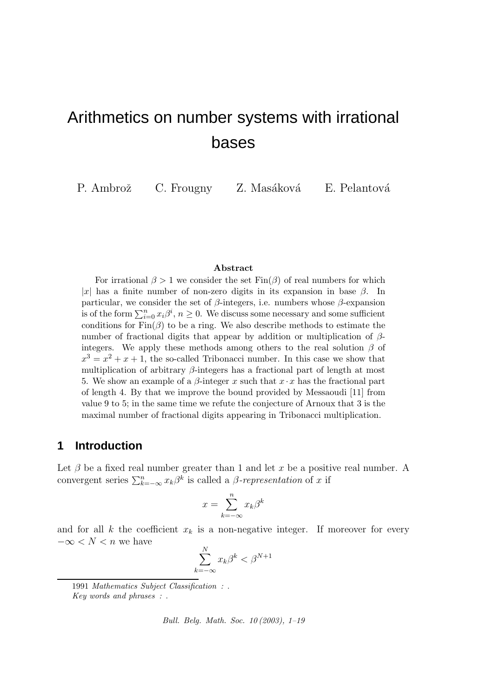# Arithmetics on number systems with irrational bases

P. Ambrož C. Frougny Z. Masáková E. Pelantová

#### Abstract

For irrational  $\beta > 1$  we consider the set  $\text{Fin}(\beta)$  of real numbers for which |x| has a finite number of non-zero digits in its expansion in base  $\beta$ . In particular, we consider the set of  $\beta$ -integers, i.e. numbers whose  $\beta$ -expansion is of the form  $\sum_{i=0}^{n} x_i \beta^i$ ,  $n \ge 0$ . We discuss some necessary and some sufficient conditions for  $\text{Fin}(\beta)$  to be a ring. We also describe methods to estimate the number of fractional digits that appear by addition or multiplication of  $\beta$ integers. We apply these methods among others to the real solution  $\beta$  of  $x^3 = x^2 + x + 1$ , the so-called Tribonacci number. In this case we show that multiplication of arbitrary  $\beta$ -integers has a fractional part of length at most 5. We show an example of a  $\beta$ -integer x such that  $x \cdot x$  has the fractional part of length 4. By that we improve the bound provided by Messaoudi [11] from value 9 to 5; in the same time we refute the conjecture of Arnoux that 3 is the maximal number of fractional digits appearing in Tribonacci multiplication.

## **1 Introduction**

Let  $\beta$  be a fixed real number greater than 1 and let x be a positive real number. A convergent series  $\sum_{k=-\infty}^{n} x_k \beta^k$  is called a  $\beta$ -representation of x if

$$
x = \sum_{k=-\infty}^{n} x_k \beta^k
$$

and for all k the coefficient  $x_k$  is a non-negative integer. If moreover for every  $-\infty < N < n$  we have

$$
\sum_{k=-\infty}^{N} x_k \beta^k < \beta^{N+1}
$$

Bull. Belg. Math. Soc. 10 (2003), 1–19

<sup>1991</sup> Mathematics Subject Classification : . Key words and phrases : .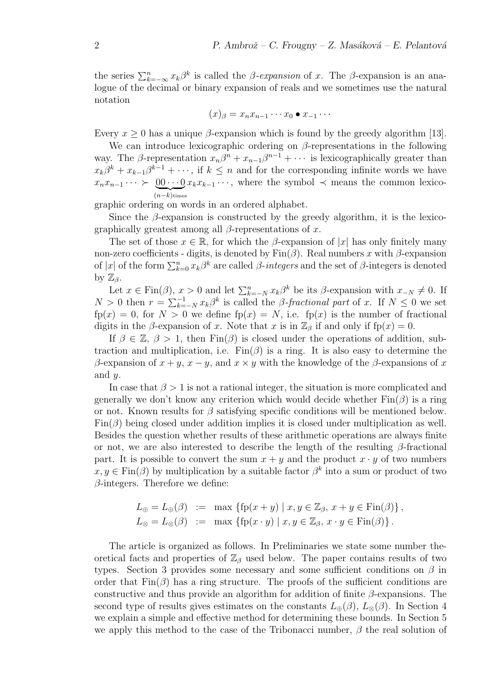the series  $\sum_{k=-\infty}^{n} x_k \beta^k$  is called the *β-expansion* of x. The *β*-expansion is an analogue of the decimal or binary expansion of reals and we sometimes use the natural notation

$$
(x)_{\beta}=x_nx_{n-1}\cdots x_0\bullet x_{-1}\cdots
$$

Every  $x \geq 0$  has a unique  $\beta$ -expansion which is found by the greedy algorithm [13].

We can introduce lexicographic ordering on  $\beta$ -representations in the following way. The  $\beta$ -representation  $x_n\beta^n + x_{n-1}\beta^{n-1} + \cdots$  is lexicographically greater than  $x_k\beta^k + x_{k-1}\beta^{k-1} + \cdots$ , if  $k \leq n$  and for the corresponding infinite words we have  $x_n x_{n-1} \cdots \succ \underbrace{00 \cdots 0}_{(n-k) \text{ times}} x_k x_{k-1} \cdots$ , where the symbol  $\prec$  means the common lexico- $(n-k)$ times

graphic ordering on words in an ordered alphabet.

Since the  $\beta$ -expansion is constructed by the greedy algorithm, it is the lexicographically greatest among all  $\beta$ -representations of x.

The set of those  $x \in \mathbb{R}$ , for which the β-expansion of |x| has only finitely many non-zero coefficients - digits, is denoted by  $\text{Fin}(\beta)$ . Real numbers x with β-expansion of  $|x|$  of the form  $\sum_{k=0}^{n} x_k \beta^k$  are called  $\beta$ -integers and the set of  $\beta$ -integers is denoted by  $\mathbb{Z}_\beta$ .

Let  $x \in \text{Fin}(\beta)$ ,  $x > 0$  and let  $\sum_{k=-N}^{n} x_k \beta^k$  be its  $\beta$ -expansion with  $x_{-N} \neq 0$ . If  $N > 0$  then  $r = \sum_{k=-N}^{-1} x_k \beta^k$  is called the *β*-fractional part of x. If  $N \leq 0$  we set  $fp(x) = 0$ , for  $N > 0$  we define  $fp(x) = N$ , i.e.  $fp(x)$  is the number of fractional digits in the β-expansion of x. Note that x is in  $\mathbb{Z}_{\beta}$  if and only if fp(x) = 0.

If  $\beta \in \mathbb{Z}, \beta > 1$ , then  $\text{Fin}(\beta)$  is closed under the operations of addition, subtraction and multiplication, i.e.  $Fin(\beta)$  is a ring. It is also easy to determine the β-expansion of  $x + y$ ,  $x - y$ , and  $x \times y$  with the knowledge of the β-expansions of x and y.

In case that  $\beta > 1$  is not a rational integer, the situation is more complicated and generally we don't know any criterion which would decide whether  $\text{Fin}(\beta)$  is a ring or not. Known results for  $\beta$  satisfying specific conditions will be mentioned below.  $\text{Fin}(\beta)$  being closed under addition implies it is closed under multiplication as well. Besides the question whether results of these arithmetic operations are always finite or not, we are also interested to describe the length of the resulting  $\beta$ -fractional part. It is possible to convert the sum  $x + y$  and the product  $x \cdot y$  of two numbers  $x, y \in \text{Fin}(\beta)$  by multiplication by a suitable factor  $\beta^k$  into a sum or product of two  $\beta$ -integers. Therefore we define:

$$
L_{\oplus} = L_{\oplus}(\beta) := \max \{ \text{fp}(x + y) \mid x, y \in \mathbb{Z}_{\beta}, x + y \in \text{Fin}(\beta) \},
$$
  

$$
L_{\otimes} = L_{\otimes}(\beta) := \max \{ \text{fp}(x \cdot y) \mid x, y \in \mathbb{Z}_{\beta}, x \cdot y \in \text{Fin}(\beta) \}.
$$

The article is organized as follows. In Preliminaries we state some number theoretical facts and properties of  $\mathbb{Z}_{\beta}$  used below. The paper contains results of two types. Section 3 provides some necessary and some sufficient conditions on  $\beta$  in order that  $\text{Fin}(\beta)$  has a ring structure. The proofs of the sufficient conditions are constructive and thus provide an algorithm for addition of finite  $\beta$ -expansions. The second type of results gives estimates on the constants  $L_{\oplus}(\beta)$ ,  $L_{\otimes}(\beta)$ . In Section 4 we explain a simple and effective method for determining these bounds. In Section 5 we apply this method to the case of the Tribonacci number,  $\beta$  the real solution of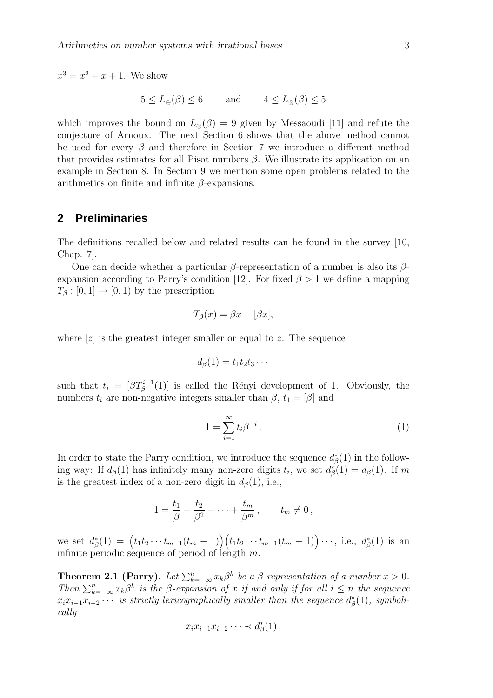$x^3 = x^2 + x + 1$ . We show

$$
5 \le L_{\oplus}(\beta) \le 6
$$
 and  $4 \le L_{\otimes}(\beta) \le 5$ 

which improves the bound on  $L_{\otimes}(\beta) = 9$  given by Messaoudi [11] and refute the conjecture of Arnoux. The next Section 6 shows that the above method cannot be used for every  $\beta$  and therefore in Section 7 we introduce a different method that provides estimates for all Pisot numbers  $\beta$ . We illustrate its application on an example in Section 8. In Section 9 we mention some open problems related to the arithmetics on finite and infinite  $\beta$ -expansions.

## **2 Preliminaries**

The definitions recalled below and related results can be found in the survey [10, Chap. 7].

One can decide whether a particular  $\beta$ -representation of a number is also its  $\beta$ expansion according to Parry's condition [12]. For fixed  $\beta > 1$  we define a mapping  $T_\beta : [0, 1] \to [0, 1)$  by the prescription

$$
T_{\beta}(x) = \beta x - [\beta x],
$$

where  $[z]$  is the greatest integer smaller or equal to z. The sequence

$$
d_{\beta}(1)=t_1t_2t_3\cdots
$$

such that  $t_i = [\beta T^{i-1}_{\beta}(1)]$  is called the Rényi development of 1. Obviously, the numbers  $t_i$  are non-negative integers smaller than  $\beta$ ,  $t_1 = [\beta]$  and

$$
1 = \sum_{i=1}^{\infty} t_i \beta^{-i} \,. \tag{1}
$$

In order to state the Parry condition, we introduce the sequence  $d^*_{\beta}(1)$  in the following way: If  $d_{\beta}(1)$  has infinitely many non-zero digits  $t_i$ , we set  $d_{\beta}^*(1) = d_{\beta}(1)$ . If m is the greatest index of a non-zero digit in  $d_{\beta}(1)$ , i.e.,

$$
1 = \frac{t_1}{\beta} + \frac{t_2}{\beta^2} + \dots + \frac{t_m}{\beta^m}, \qquad t_m \neq 0,
$$

we set  $d_{\beta}^{*}(1) = (t_1t_2 \cdots t_{m-1}(t_m-1))(t_1t_2 \cdots t_{m-1}(t_m-1)) \cdots$ , i.e.,  $d_{\beta}^{*}(1)$  is an infinite periodic sequence of period of length  $m$ .

**Theorem 2.1 (Parry).** Let  $\sum_{k=-\infty}^{n} x_k \beta^k$  be a  $\beta$ -representation of a number  $x > 0$ . Then  $\sum_{k=-\infty}^{n} x_k \beta^k$  is the  $\beta$ -expansion of x if and only if for all  $i \leq n$  the sequence  $x_i x_{i-1} x_{i-2} \cdots$  is strictly lexicographically smaller than the sequence  $d^*_{\beta}(1)$ , symbolically

$$
x_i x_{i-1} x_{i-2} \cdots \prec d_{\beta}^*(1) \, .
$$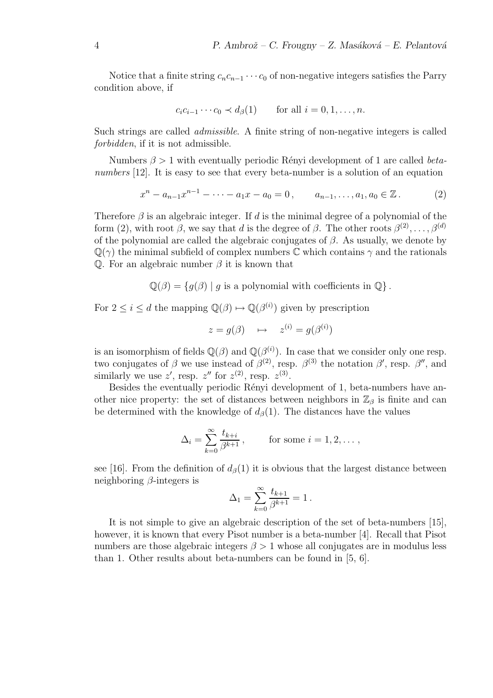Notice that a finite string  $c_n c_{n-1} \cdots c_0$  of non-negative integers satisfies the Parry condition above, if

$$
c_i c_{i-1} \cdots c_0 \prec d_{\beta}(1) \quad \text{for all } i = 0, 1, \ldots, n.
$$

Such strings are called admissible. A finite string of non-negative integers is called forbidden, if it is not admissible.

Numbers  $\beta > 1$  with eventually periodic Rényi development of 1 are called betanumbers [12]. It is easy to see that every beta-number is a solution of an equation

$$
x^{n} - a_{n-1}x^{n-1} - \cdots - a_1x - a_0 = 0, \qquad a_{n-1}, \ldots, a_1, a_0 \in \mathbb{Z}.
$$
 (2)

Therefore  $\beta$  is an algebraic integer. If d is the minimal degree of a polynomial of the form (2), with root  $\beta$ , we say that d is the degree of  $\beta$ . The other roots  $\beta^{(2)}, \ldots, \beta^{(d)}$ of the polynomial are called the algebraic conjugates of  $\beta$ . As usually, we denote by  $\mathbb{Q}(\gamma)$  the minimal subfield of complex numbers  $\mathbb C$  which contains  $\gamma$  and the rationals Q. For an algebraic number  $\beta$  it is known that

 $\mathbb{Q}(\beta) = \{q(\beta) \mid q \text{ is a polynomial with coefficients in } \mathbb{Q}\}.$ 

For  $2 \leq i \leq d$  the mapping  $\mathbb{Q}(\beta) \mapsto \mathbb{Q}(\beta^{(i)})$  given by prescription

$$
z = g(\beta) \quad \mapsto \quad z^{(i)} = g(\beta^{(i)})
$$

is an isomorphism of fields  $\mathbb{Q}(\beta)$  and  $\mathbb{Q}(\beta^{(i)})$ . In case that we consider only one resp. two conjugates of  $\beta$  we use instead of  $\beta^{(2)}$ , resp.  $\beta^{(3)}$  the notation  $\beta'$ , resp.  $\beta''$ , and similarly we use z', resp.  $z''$  for  $z^{(2)}$ , resp.  $z^{(3)}$ .

Besides the eventually periodic Rényi development of 1, beta-numbers have another nice property: the set of distances between neighbors in  $\mathbb{Z}_{\beta}$  is finite and can be determined with the knowledge of  $d_{\beta}(1)$ . The distances have the values

$$
\Delta_i = \sum_{k=0}^{\infty} \frac{t_{k+i}}{\beta^{k+1}},
$$
 for some  $i = 1, 2, \dots$ ,

see [16]. From the definition of  $d_0(1)$  it is obvious that the largest distance between neighboring  $\beta$ -integers is

$$
\Delta_1=\sum_{k=0}^\infty \frac{t_{k+1}}{\beta^{k+1}}=1\,.
$$

It is not simple to give an algebraic description of the set of beta-numbers [15], however, it is known that every Pisot number is a beta-number [4]. Recall that Pisot numbers are those algebraic integers  $\beta > 1$  whose all conjugates are in modulus less than 1. Other results about beta-numbers can be found in [5, 6].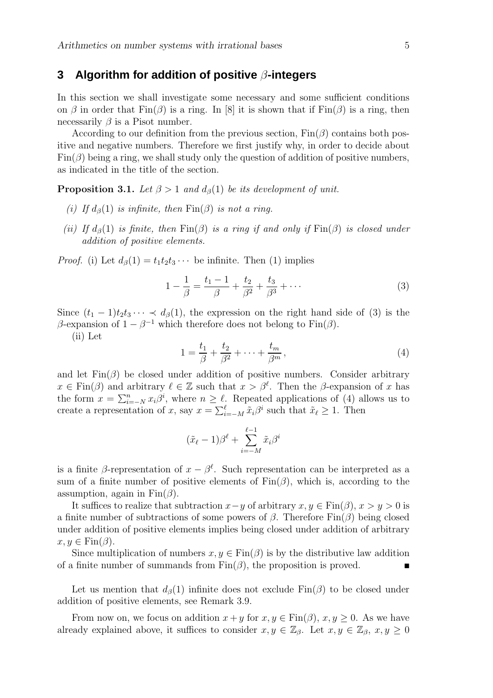## **3 Algorithm for addition of positive** β**-integers**

In this section we shall investigate some necessary and some sufficient conditions on  $\beta$  in order that  $\text{Fin}(\beta)$  is a ring. In [8] it is shown that if  $\text{Fin}(\beta)$  is a ring, then necessarily  $\beta$  is a Pisot number.

According to our definition from the previous section,  $Fin(\beta)$  contains both positive and negative numbers. Therefore we first justify why, in order to decide about  $Fin(\beta)$  being a ring, we shall study only the question of addition of positive numbers, as indicated in the title of the section.

**Proposition 3.1.** Let  $\beta > 1$  and  $d_{\beta}(1)$  be its development of unit.

- (i) If  $d_{\beta}(1)$  is infinite, then  $\text{Fin}(\beta)$  is not a ring.
- (ii) If  $d_{\beta}(1)$  is finite, then  $\text{Fin}(\beta)$  is a ring if and only if  $\text{Fin}(\beta)$  is closed under addition of positive elements.

*Proof.* (i) Let  $d_{\beta}(1) = t_1 t_2 t_3 \cdots$  be infinite. Then (1) implies

$$
1 - \frac{1}{\beta} = \frac{t_1 - 1}{\beta} + \frac{t_2}{\beta^2} + \frac{t_3}{\beta^3} + \dotsb \tag{3}
$$

Since  $(t_1 - 1)t_2t_3 \cdots \prec d_{\beta}(1)$ , the expression on the right hand side of (3) is the β-expansion of  $1 - \beta^{-1}$  which therefore does not belong to Fin(β).

(ii) Let

$$
1 = \frac{t_1}{\beta} + \frac{t_2}{\beta^2} + \dots + \frac{t_m}{\beta^m},
$$
\n(4)

and let  $\text{Fin}(\beta)$  be closed under addition of positive numbers. Consider arbitrary  $x \in \text{Fin}(\beta)$  and arbitrary  $\ell \in \mathbb{Z}$  such that  $x > \beta^{\ell}$ . Then the  $\beta$ -expansion of x has the form  $x = \sum_{i=-N}^{n} x_i \beta^i$ , where  $n \geq \ell$ . Repeated applications of (4) allows us to create a representation of x, say  $x = \sum_{i=-M}^{\ell} \tilde{x}_i \beta^i$  such that  $\tilde{x}_\ell \geq 1$ . Then

$$
(\tilde{x}_{\ell} - 1)\beta^{\ell} + \sum_{i=-M}^{\ell-1} \tilde{x}_{i}\beta^{i}
$$

is a finite  $\beta$ -representation of  $x - \beta^{\ell}$ . Such representation can be interpreted as a sum of a finite number of positive elements of  $\text{Fin}(\beta)$ , which is, according to the assumption, again in  $Fin(\beta)$ .

It suffices to realize that subtraction  $x-y$  of arbitrary  $x, y \in \text{Fin}(\beta)$ ,  $x > y > 0$  is a finite number of subtractions of some powers of  $\beta$ . Therefore Fin( $\beta$ ) being closed under addition of positive elements implies being closed under addition of arbitrary  $x, y \in \text{Fin}(\beta)$ .

Since multiplication of numbers  $x, y \in \text{Fin}(\beta)$  is by the distributive law addition of a finite number of summands from  $Fin(\beta)$ , the proposition is proved.

Let us mention that  $d_{\beta}(1)$  infinite does not exclude  $\text{Fin}(\beta)$  to be closed under addition of positive elements, see Remark 3.9.

From now on, we focus on addition  $x + y$  for  $x, y \in \text{Fin}(\beta)$ ,  $x, y \ge 0$ . As we have already explained above, it suffices to consider  $x, y \in \mathbb{Z}_{\beta}$ . Let  $x, y \in \mathbb{Z}_{\beta}$ ,  $x, y \ge 0$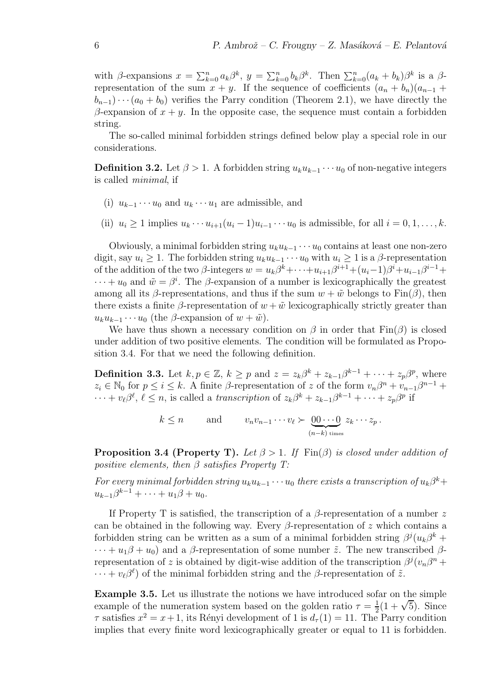with β-expansions  $x = \sum_{k=0}^n a_k \beta^k$ ,  $y = \sum_{k=0}^n b_k \beta^k$ . Then  $\sum_{k=0}^n (a_k + b_k) \beta^k$  is a βrepresentation of the sum  $x + y$ . If the sequence of coefficients  $(a_n + b_n)(a_{n-1} + b_n)$  $(b_{n-1})\cdots(a_0+b_0)$  verifies the Parry condition (Theorem 2.1), we have directly the β-expansion of  $x + y$ . In the opposite case, the sequence must contain a forbidden string.

The so-called minimal forbidden strings defined below play a special role in our considerations.

**Definition 3.2.** Let  $\beta > 1$ . A forbidden string  $u_k u_{k-1} \cdots u_0$  of non-negative integers is called minimal, if

- (i)  $u_{k-1} \cdots u_0$  and  $u_k \cdots u_1$  are admissible, and
- (ii)  $u_i > 1$  implies  $u_k \cdots u_{i+1}(u_i-1)u_{i-1} \cdots u_0$  is admissible, for all  $i = 0, 1, \ldots, k$ .

Obviously, a minimal forbidden string  $u_k u_{k-1} \cdots u_0$  contains at least one non-zero digit, say  $u_i \geq 1$ . The forbidden string  $u_k u_{k-1} \cdots u_0$  with  $u_i \geq 1$  is a  $\beta$ -representation of the addition of the two  $\beta$ -integers  $w = u_k \beta^k + \cdots + u_{i+1} \beta^{i+1} + (u_i - 1) \beta^i + u_{i-1} \beta^{i-1} +$  $\cdots + u_0$  and  $\tilde{w} = \beta^i$ . The  $\beta$ -expansion of a number is lexicographically the greatest among all its β-representations, and thus if the sum  $w + \tilde{w}$  belongs to Fin(β), then there exists a finite  $\beta$ -representation of  $w + \tilde{w}$  lexicographically strictly greater than  $u_k u_{k-1} \cdots u_0$  (the  $\beta$ -expansion of  $w + \tilde{w}$ ).

We have thus shown a necessary condition on  $\beta$  in order that  $\text{Fin}(\beta)$  is closed under addition of two positive elements. The condition will be formulated as Proposition 3.4. For that we need the following definition.

**Definition 3.3.** Let  $k, p \in \mathbb{Z}$ ,  $k \geq p$  and  $z = z_k \beta^k + z_{k-1} \beta^{k-1} + \cdots + z_p \beta^p$ , where  $z_i \in \mathbb{N}_0$  for  $p \leq i \leq k$ . A finite  $\beta$ -representation of z of the form  $v_n \beta^n + v_{n-1} \beta^{n-1}$  +  $\cdots + v_{\ell} \beta^{\ell}, \ell \leq n$ , is called a transcription of  $z_{k} \beta^{k} + z_{k-1} \beta^{k-1} + \cdots + z_{p} \beta^{p}$  if

$$
k \leq n
$$
 and  $v_n v_{n-1} \cdots v_{\ell} \succ \underbrace{00 \cdots 0}_{(n-k) \text{ times}} z_k \cdots z_p$ .

**Proposition 3.4 (Property T).** Let  $\beta > 1$ . If Fin( $\beta$ ) is closed under addition of positive elements, then  $\beta$  satisfies Property T:

For every minimal forbidden string  $u_k u_{k-1} \cdots u_0$  there exists a transcription of  $u_k \beta^k +$  $u_{k-1}\beta^{k-1} + \cdots + u_1\beta + u_0.$ 

If Property T is satisfied, the transcription of a  $\beta$ -representation of a number z can be obtained in the following way. Every  $\beta$ -representation of z which contains a forbidden string can be written as a sum of a minimal forbidden string  $\beta^{j}(u_{k}\beta^{k} +$  $\cdots + u_1\beta + u_0$ ) and a  $\beta$ -representation of some number  $\tilde{z}$ . The new transcribed  $\beta$ representation of z is obtained by digit-wise addition of the transcription  $\beta^{j}(v_{n}\beta^{n} +$  $\cdots + v_{\ell} \beta^{\ell}$  of the minimal forbidden string and the  $\beta$ -representation of  $\tilde{z}$ .

Example 3.5. Let us illustrate the notions we have introduced sofar on the simple example of the numeration system based on the golden ratio  $\tau = \frac{1}{2}$  $\frac{1}{2}(1+\sqrt{5})$ . Since  $\tau$  satisfies  $x^2 = x + 1$ , its Rényi development of 1 is  $d_{\tau}(1) = 11$ . The Parry condition implies that every finite word lexicographically greater or equal to 11 is forbidden.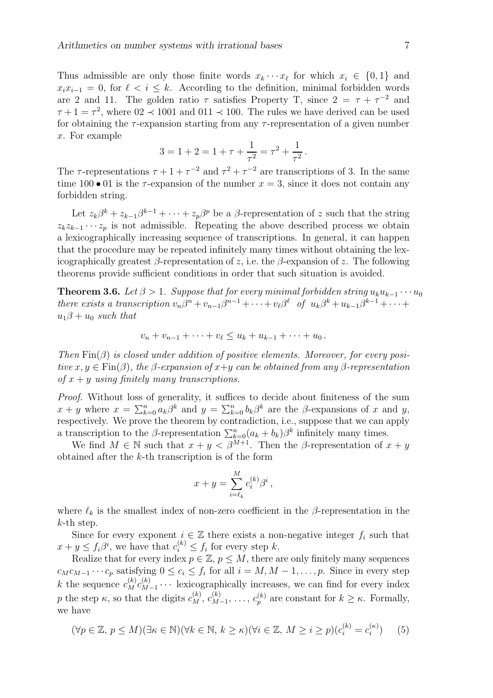Thus admissible are only those finite words  $x_k \cdots x_\ell$  for which  $x_i \in \{0, 1\}$  and  $x_i x_{i-1} = 0$ , for  $\ell < i \leq k$ . According to the definition, minimal forbidden words are 2 and 11. The golden ratio  $\tau$  satisfies Property T, since  $2 = \tau + \tau^{-2}$  and  $\tau + 1 = \tau^2$ , where  $0.02 \le 1001$  and  $0.011 \le 100$ . The rules we have derived can be used for obtaining the  $\tau$ -expansion starting from any  $\tau$ -representation of a given number x. For example

$$
3 = 1 + 2 = 1 + \tau + \frac{1}{\tau^2} = \tau^2 + \frac{1}{\tau^2}.
$$

The  $\tau$ -representations  $\tau + 1 + \tau^{-2}$  and  $\tau^2 + \tau^{-2}$  are transcriptions of 3. In the same time 100 • 01 is the  $\tau$ -expansion of the number  $x = 3$ , since it does not contain any forbidden string.

Let  $z_k\beta^k + z_{k-1}\beta^{k-1} + \cdots + z_p\beta^p$  be a  $\beta$ -representation of z such that the string  $z_k z_{k-1} \cdots z_p$  is not admissible. Repeating the above described process we obtain a lexicographically increasing sequence of transcriptions. In general, it can happen that the procedure may be repeated infinitely many times without obtaining the lexicographically greatest  $\beta$ -representation of z, i.e. the  $\beta$ -expansion of z. The following theorems provide sufficient conditions in order that such situation is avoided.

**Theorem 3.6.** Let  $\beta > 1$ . Suppose that for every minimal forbidden string  $u_k u_{k-1} \cdots u_0$ there exists a transcription  $v_n\beta^n + v_{n-1}\beta^{n-1} + \cdots + v_\ell\beta^\ell$  of  $u_k\beta^k + u_{k-1}\beta^{k-1} + \cdots + v_\ell\beta^\ell$  $u_1\beta + u_0$  such that

$$
v_n + v_{n-1} + \cdots + v_{\ell} \le u_k + u_{k-1} + \cdots + u_0.
$$

Then  $\text{Fin}(\beta)$  is closed under addition of positive elements. Moreover, for every positive  $x, y \in \text{Fin}(\beta)$ , the  $\beta$ -expansion of  $x+y$  can be obtained from any  $\beta$ -representation of  $x + y$  using finitely many transcriptions.

Proof. Without loss of generality, it suffices to decide about finiteness of the sum  $x + y$  where  $x = \sum_{k=0}^{n} a_k \beta^k$  and  $y = \sum_{k=0}^{n} b_k \beta^k$  are the  $\beta$ -expansions of x and y, respectively. We prove the theorem by contradiction, i.e., suppose that we can apply a transcription to the  $\beta$ -representation  $\sum_{k=0}^{n} (a_k + b_k) \beta^k$  infinitely many times.

We find  $M \in \mathbb{N}$  such that  $x + y < \beta^{M+1}$ . Then the  $\beta$ -representation of  $x + y$ obtained after the  $k$ -th transcription is of the form

$$
x + y = \sum_{i=\ell_k}^{M} c_i^{(k)} \beta^i ,
$$

where  $\ell_k$  is the smallest index of non-zero coefficient in the β-representation in the k-th step.

Since for every exponent  $i \in \mathbb{Z}$  there exists a non-negative integer  $f_i$  such that  $x + y \leq f_i \beta^i$ , we have that  $c_i^{(k)} \leq f_i$  for every step k.

Realize that for every index  $p \in \mathbb{Z}$ ,  $p \leq M$ , there are only finitely many sequences  $c_M c_{M-1} \cdots c_p$  satisfying  $0 \leq c_i \leq f_i$  for all  $i = M, M - 1, \ldots, p$ . Since in every step k the sequence  $c_M^{(k)}c_M^{(k)}$  $\chi_{M-1}^{(\kappa)}$   $\cdots$  lexicographically increases, we can find for every index p the step  $\kappa$ , so that the digits  $c_M^{(k)}$ ,  $c_M^{(k)}$ .  $\chi_{M-1}^{(k)}, \ldots, c_p^{(k)}$  are constant for  $k \geq \kappa$ . Formally, we have

$$
(\forall p \in \mathbb{Z}, \ p \le M)(\exists \kappa \in \mathbb{N})(\forall k \in \mathbb{N}, \ k \ge \kappa)(\forall i \in \mathbb{Z}, \ M \ge i \ge p)(c_i^{(k)} = c_i^{(\kappa)}) \tag{5}
$$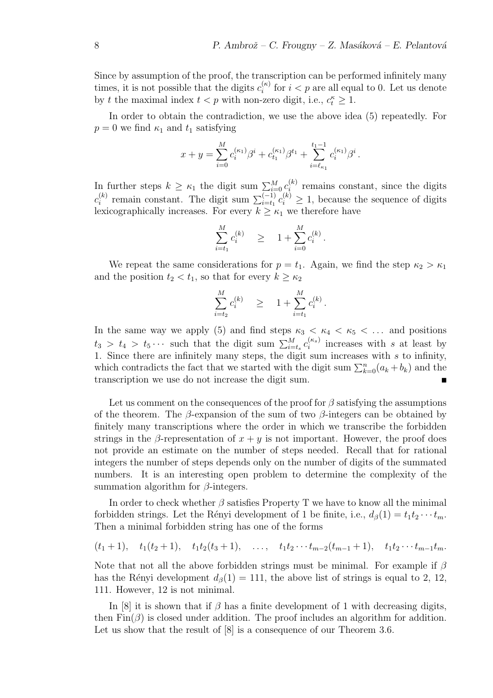Since by assumption of the proof, the transcription can be performed infinitely many times, it is not possible that the digits  $c_i^{(\kappa)}$  $i^{(k)}$  for  $i < p$  are all equal to 0. Let us denote by t the maximal index  $t < p$  with non-zero digit, i.e.,  $c_t^{\kappa} \geq 1$ .

In order to obtain the contradiction, we use the above idea (5) repeatedly. For  $p = 0$  we find  $\kappa_1$  and  $t_1$  satisfying

$$
x+y=\sum_{i=0}^M c_i^{(\kappa_1)}\beta^i+c_{t_1}^{(\kappa_1)}\beta^{t_1}+\sum_{i=\ell_{\kappa_1}}^{t_1-1} c_i^{(\kappa_1)}\beta^i\,.
$$

In further steps  $k \geq \kappa_1$  the digit sum  $\sum_{i=0}^{M} c_i^{(k)}$  $i^{(k)}$  remains constant, since the digits  $c_i^{(k)}$ <sup>(k)</sup> remain constant. The digit sum  $\sum_{i=t_1}^{(-1)} c_i^{(k)} \geq 1$ , because the sequence of digits lexicographically increases. For every  $k \geq \kappa_1$  we therefore have

$$
\sum_{i=t_1}^M c_i^{(k)} \quad \geq \quad 1 + \sum_{i=0}^M c_i^{(k)} \, .
$$

We repeat the same considerations for  $p = t_1$ . Again, we find the step  $\kappa_2 > \kappa_1$ and the position  $t_2 < t_1$ , so that for every  $k \geq \kappa_2$ 

$$
\sum_{i=t_2}^{M} c_i^{(k)} \quad \geq \quad 1 + \sum_{i=t_1}^{M} c_i^{(k)}.
$$

In the same way we apply (5) and find steps  $\kappa_3 < \kappa_4 < \kappa_5 < \dots$  and positions  $t_3 > t_4 > t_5 \cdots$  such that the digit sum  $\sum_{i=t_s}^{M} c_i^{(\kappa_s)}$  $i^{(\kappa_s)}$  increases with s at least by 1. Since there are infinitely many steps, the digit sum increases with s to infinity, which contradicts the fact that we started with the digit sum  $\sum_{k=0}^{n} (a_k + b_k)$  and the transcription we use do not increase the digit sum.

Let us comment on the consequences of the proof for  $\beta$  satisfying the assumptions of the theorem. The  $\beta$ -expansion of the sum of two  $\beta$ -integers can be obtained by finitely many transcriptions where the order in which we transcribe the forbidden strings in the β-representation of  $x + y$  is not important. However, the proof does not provide an estimate on the number of steps needed. Recall that for rational integers the number of steps depends only on the number of digits of the summated numbers. It is an interesting open problem to determine the complexity of the summation algorithm for  $\beta$ -integers.

In order to check whether  $\beta$  satisfies Property T we have to know all the minimal forbidden strings. Let the Rényi development of 1 be finite, i.e.,  $d_{\beta}(1) = t_1 t_2 \cdots t_m$ . Then a minimal forbidden string has one of the forms

$$
(t_1+1)
$$
,  $t_1(t_2+1)$ ,  $t_1t_2(t_3+1)$ , ...,  $t_1t_2 \cdots t_{m-2}(t_{m-1}+1)$ ,  $t_1t_2 \cdots t_{m-1}t_m$ .

Note that not all the above forbidden strings must be minimal. For example if  $\beta$ has the Rényi development  $d_{\beta}(1) = 111$ , the above list of strings is equal to 2, 12, 111. However, 12 is not minimal.

In [8] it is shown that if  $\beta$  has a finite development of 1 with decreasing digits, then  $\text{Fin}(\beta)$  is closed under addition. The proof includes an algorithm for addition. Let us show that the result of  $[8]$  is a consequence of our Theorem 3.6.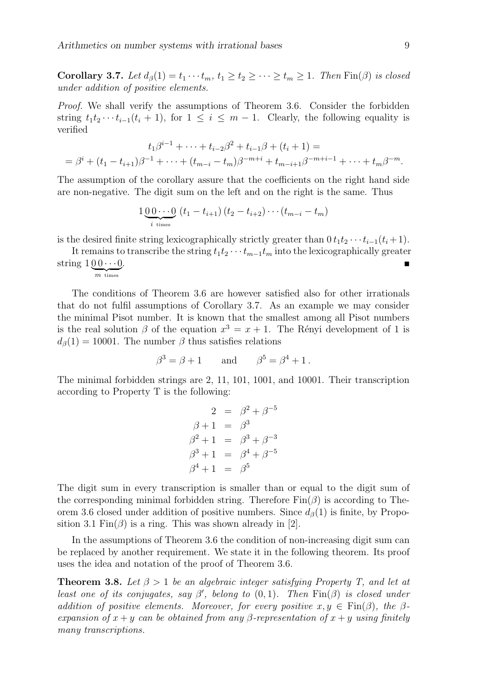Corollary 3.7. Let  $d_{\beta}(1) = t_1 \cdots t_m$ ,  $t_1 \geq t_2 \geq \cdots \geq t_m \geq 1$ . Then  $\text{Fin}(\beta)$  is closed under addition of positive elements.

Proof. We shall verify the assumptions of Theorem 3.6. Consider the forbidden string  $t_1t_2 \cdots t_{i-1}(t_i + 1)$ , for  $1 \leq i \leq m-1$ . Clearly, the following equality is verified

$$
t_1\beta^{i-1} + \dots + t_{i-2}\beta^2 + t_{i-1}\beta + (t_i + 1) =
$$
  
=  $\beta^i + (t_1 - t_{i+1})\beta^{-1} + \dots + (t_{m-i} - t_m)\beta^{-m+i} + t_{m-i+1}\beta^{-m+i-1} + \dots + t_m\beta^{-m}.$ 

The assumption of the corollary assure that the coefficients on the right hand side are non-negative. The digit sum on the left and on the right is the same. Thus

$$
1\underbrace{0\ 0\cdots 0}_{i \text{ times}} (t_1-t_{i+1}) (t_2-t_{i+2})\cdots (t_{m-i}-t_m)
$$

is the desired finite string lexicographically strictly greater than  $0 t_1 t_2 \cdots t_{i-1}(t_i + 1)$ .

It remains to transcribe the string  $t_1t_2 \cdots t_{m-1}t_m$  into the lexicographically greater string  $100 \cdots 0$  $\overline{m}$  times . The contract of the contract of the contract of the contract of the contract of  $\blacksquare$ 

The conditions of Theorem 3.6 are however satisfied also for other irrationals that do not fulfil assumptions of Corollary 3.7. As an example we may consider the minimal Pisot number. It is known that the smallest among all Pisot numbers is the real solution  $\beta$  of the equation  $x^3 = x + 1$ . The Rényi development of 1 is  $d_{\beta}(1) = 10001$ . The number  $\beta$  thus satisfies relations

$$
\beta^3 = \beta + 1 \quad \text{and} \quad \beta^5 = \beta^4 + 1 \, .
$$

The minimal forbidden strings are 2, 11, 101, 1001, and 10001. Their transcription according to Property T is the following:

$$
2 = \beta^2 + \beta^{-5}
$$
  
\n
$$
\beta + 1 = \beta^3
$$
  
\n
$$
\beta^2 + 1 = \beta^3 + \beta^{-3}
$$
  
\n
$$
\beta^3 + 1 = \beta^4 + \beta^{-5}
$$
  
\n
$$
\beta^4 + 1 = \beta^5
$$

The digit sum in every transcription is smaller than or equal to the digit sum of the corresponding minimal forbidden string. Therefore  $\text{Fin}(\beta)$  is according to Theorem 3.6 closed under addition of positive numbers. Since  $d_{\beta}(1)$  is finite, by Proposition 3.1 Fin $(\beta)$  is a ring. This was shown already in [2].

In the assumptions of Theorem 3.6 the condition of non-increasing digit sum can be replaced by another requirement. We state it in the following theorem. Its proof uses the idea and notation of the proof of Theorem 3.6.

**Theorem 3.8.** Let  $\beta > 1$  be an algebraic integer satisfying Property T, and let at least one of its conjugates, say  $\beta'$ , belong to  $(0,1)$ . Then  $\text{Fin}(\beta)$  is closed under addition of positive elements. Moreover, for every positive  $x, y \in Fin(\beta)$ , the  $\beta$ expansion of  $x + y$  can be obtained from any β-representation of  $x + y$  using finitely many transcriptions.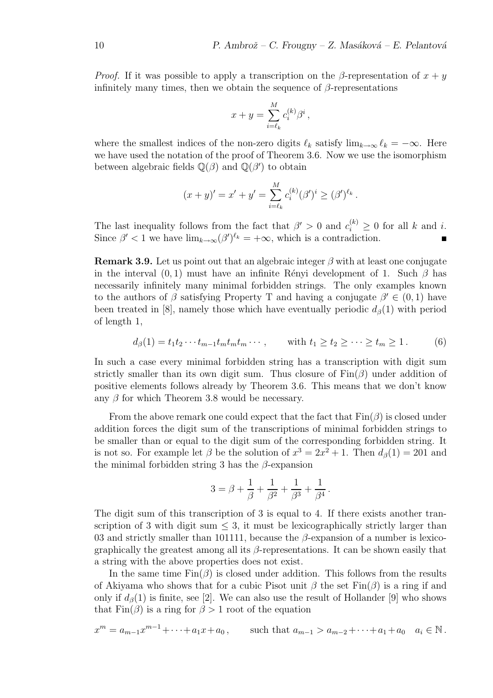*Proof.* If it was possible to apply a transcription on the β-representation of  $x + y$ infinitely many times, then we obtain the sequence of  $\beta$ -representations

$$
x + y = \sum_{i=\ell_k}^M c_i^{(k)} \beta^i ,
$$

where the smallest indices of the non-zero digits  $\ell_k$  satisfy  $\lim_{k\to\infty} \ell_k = -\infty$ . Here we have used the notation of the proof of Theorem 3.6. Now we use the isomorphism between algebraic fields  $\mathbb{Q}(\beta)$  and  $\mathbb{Q}(\beta')$  to obtain

$$
(x + y)' = x' + y' = \sum_{i=\ell_k}^{M} c_i^{(k)} (\beta')^i \geq (\beta')^{\ell_k}.
$$

The last inequality follows from the fact that  $\beta' > 0$  and  $c_i^{(k)} \geq 0$  for all k and i. Since  $\beta' < 1$  we have  $\lim_{k \to \infty} (\beta')^{\ell_k} = +\infty$ , which is a contradiction.

**Remark 3.9.** Let us point out that an algebraic integer  $\beta$  with at least one conjugate in the interval  $(0, 1)$  must have an infinite Rényi development of 1. Such  $\beta$  has necessarily infinitely many minimal forbidden strings. The only examples known to the authors of  $\beta$  satisfying Property T and having a conjugate  $\beta' \in (0,1)$  have been treated in [8], namely those which have eventually periodic  $d_{\beta}(1)$  with period of length 1,

$$
d_{\beta}(1) = t_1 t_2 \cdots t_{m-1} t_m t_m t_m \cdots, \quad \text{with } t_1 \ge t_2 \ge \cdots \ge t_m \ge 1. \tag{6}
$$

In such a case every minimal forbidden string has a transcription with digit sum strictly smaller than its own digit sum. Thus closure of  $\text{Fin}(\beta)$  under addition of positive elements follows already by Theorem 3.6. This means that we don't know any  $\beta$  for which Theorem 3.8 would be necessary.

From the above remark one could expect that the fact that  $\text{Fin}(\beta)$  is closed under addition forces the digit sum of the transcriptions of minimal forbidden strings to be smaller than or equal to the digit sum of the corresponding forbidden string. It is not so. For example let  $\beta$  be the solution of  $x^3 = 2x^2 + 1$ . Then  $d_{\beta}(1) = 201$  and the minimal forbidden string 3 has the  $\beta$ -expansion

$$
3 = \beta + \frac{1}{\beta} + \frac{1}{\beta^2} + \frac{1}{\beta^3} + \frac{1}{\beta^4}.
$$

The digit sum of this transcription of 3 is equal to 4. If there exists another transcription of 3 with digit sum  $\leq$  3, it must be lexicographically strictly larger than 03 and strictly smaller than 101111, because the  $\beta$ -expansion of a number is lexicographically the greatest among all its  $\beta$ -representations. It can be shown easily that a string with the above properties does not exist.

In the same time  $\text{Fin}(\beta)$  is closed under addition. This follows from the results of Akiyama who shows that for a cubic Pisot unit  $\beta$  the set  $\text{Fin}(\beta)$  is a ring if and only if  $d_{\beta}(1)$  is finite, see [2]. We can also use the result of Hollander [9] who shows that  $\text{Fin}(\beta)$  is a ring for  $\beta > 1$  root of the equation

$$
x^m = a_{m-1}x^{m-1} + \dots + a_1x + a_0, \qquad \text{such that } a_{m-1} > a_{m-2} + \dots + a_1 + a_0 \quad a_i \in \mathbb{N} \, .
$$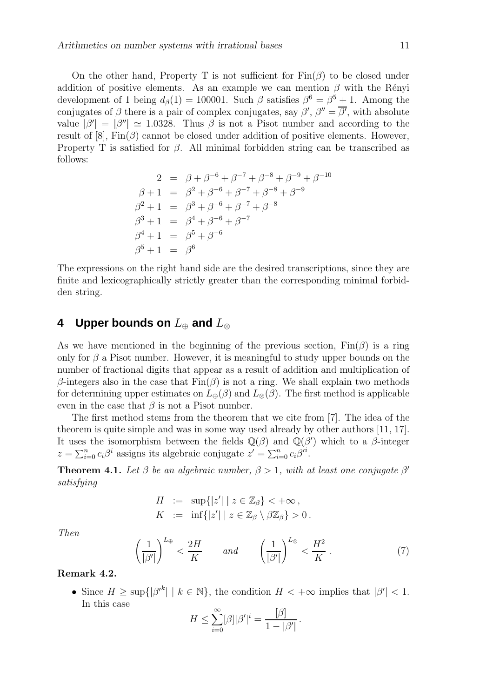On the other hand, Property T is not sufficient for  $\text{Fin}(\beta)$  to be closed under addition of positive elements. As an example we can mention  $\beta$  with the Rényi development of 1 being  $d_{\beta}(1) = 100001$ . Such  $\beta$  satisfies  $\beta^6 = \beta^5 + 1$ . Among the conjugates of  $\beta$  there is a pair of complex conjugates, say  $\beta', \beta'' = \overline{\beta'},$  with absolute value  $|\beta'| = |\beta''| \simeq 1.0328$ . Thus  $\beta$  is not a Pisot number and according to the result of [8],  $\text{Fin}(\beta)$  cannot be closed under addition of positive elements. However, Property T is satisfied for  $\beta$ . All minimal forbidden string can be transcribed as follows:

$$
2 = \beta + \beta^{-6} + \beta^{-7} + \beta^{-8} + \beta^{-9} + \beta^{-10}
$$
  
\n
$$
\beta + 1 = \beta^2 + \beta^{-6} + \beta^{-7} + \beta^{-8} + \beta^{-9}
$$
  
\n
$$
\beta^2 + 1 = \beta^3 + \beta^{-6} + \beta^{-7} + \beta^{-8}
$$
  
\n
$$
\beta^3 + 1 = \beta^4 + \beta^{-6} + \beta^{-7}
$$
  
\n
$$
\beta^4 + 1 = \beta^5 + \beta^{-6}
$$
  
\n
$$
\beta^5 + 1 = \beta^6
$$

The expressions on the right hand side are the desired transcriptions, since they are finite and lexicographically strictly greater than the corresponding minimal forbidden string.

## **4 Upper bounds on** L<sup>⊕</sup> **and** L<sup>⊗</sup>

As we have mentioned in the beginning of the previous section,  $\text{Fin}(\beta)$  is a ring only for  $\beta$  a Pisot number. However, it is meaningful to study upper bounds on the number of fractional digits that appear as a result of addition and multiplication of β-integers also in the case that  $Fin(β)$  is not a ring. We shall explain two methods for determining upper estimates on  $L_{\oplus}(\beta)$  and  $L_{\otimes}(\beta)$ . The first method is applicable even in the case that  $\beta$  is not a Pisot number.

The first method stems from the theorem that we cite from [7]. The idea of the theorem is quite simple and was in some way used already by other authors [11, 17]. It uses the isomorphism between the fields  $\mathbb{Q}(\beta)$  and  $\mathbb{Q}(\beta')$  which to a  $\beta$ -integer  $z = \sum_{i=0}^{n} c_i \beta^i$  assigns its algebraic conjugate  $z' = \sum_{i=0}^{n} c_i \beta^i$ .

**Theorem 4.1.** Let  $\beta$  be an algebraic number,  $\beta > 1$ , with at least one conjugate  $\beta'$ satisfying

$$
H := \sup\{|z'| \mid z \in \mathbb{Z}_{\beta}\} < +\infty,
$$
  

$$
K := \inf\{|z'| \mid z \in \mathbb{Z}_{\beta} \setminus \beta \mathbb{Z}_{\beta}\} > 0.
$$

Then

$$
\left(\frac{1}{|\beta'|}\right)^{L_{\oplus}} < \frac{2H}{K} \qquad \text{and} \qquad \left(\frac{1}{|\beta'|}\right)^{L_{\otimes}} < \frac{H^2}{K} \,. \tag{7}
$$

#### Remark 4.2.

• Since  $H \ge \sup\{ |\beta'^k| \mid k \in \mathbb{N} \},\$  the condition  $H < +\infty$  implies that  $|\beta'| < 1$ . In this case

$$
H \leq \sum_{i=0}^{\infty} [\beta] |\beta'|^i = \frac{[\beta]}{1 - |\beta'|}.
$$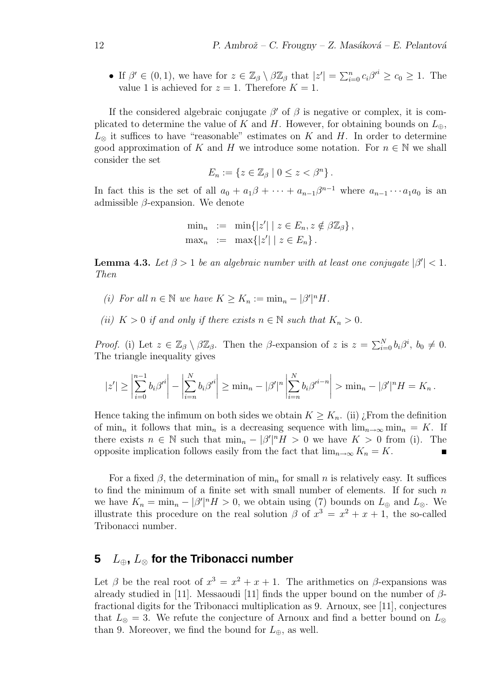• If  $\beta' \in (0,1)$ , we have for  $z \in \mathbb{Z}_{\beta} \setminus \beta \mathbb{Z}_{\beta}$  that  $|z'| = \sum_{i=0}^{n} c_i \beta'^i \ge c_0 \ge 1$ . The value 1 is achieved for  $z = 1$ . Therefore  $K = 1$ .

If the considered algebraic conjugate  $\beta'$  of  $\beta$  is negative or complex, it is complicated to determine the value of K and H. However, for obtaining bounds on  $L_{\oplus}$ ,  $L_{\infty}$  it suffices to have "reasonable" estimates on K and H. In order to determine good approximation of K and H we introduce some notation. For  $n \in \mathbb{N}$  we shall consider the set

$$
E_n := \{ z \in \mathbb{Z}_{\beta} \mid 0 \leq z < \beta^n \} \, .
$$

In fact this is the set of all  $a_0 + a_1\beta + \cdots + a_{n-1}\beta^{n-1}$  where  $a_{n-1}\cdots a_1a_0$  is an admissible  $\beta$ -expansion. We denote

$$
\min_n := \min\{|z'| \mid z \in E_n, z \notin \beta \mathbb{Z}_{\beta}\},
$$
  

$$
\max_n := \max\{|z'| \mid z \in E_n\}.
$$

**Lemma 4.3.** Let  $\beta > 1$  be an algebraic number with at least one conjugate  $|\beta'| < 1$ . Then

- (i) For all  $n \in \mathbb{N}$  we have  $K \geq K_n := \min_n |\beta'|^n H$ .
- (ii)  $K > 0$  if and only if there exists  $n \in \mathbb{N}$  such that  $K_n > 0$ .

Proof. (i) Let  $z \in \mathbb{Z}_{\beta} \setminus \beta \mathbb{Z}_{\beta}$ . Then the  $\beta$ -expansion of  $z$  is  $z = \sum_{i=0}^{N} b_i \beta^i$ ,  $b_0 \neq 0$ . The triangle inequality gives

$$
|z'| \geq \left|\sum_{i=0}^{n-1} b_i \beta'^i\right| - \left|\sum_{i=n}^N b_i \beta'^i\right| \geq \min_n - |\beta'|^n \left|\sum_{i=n}^N b_i \beta'^{i-n}\right| > \min_n - |\beta'|^n H = K_n.
$$

Hence taking the infimum on both sides we obtain  $K \geq K_n$ . (ii) *i*. From the definition of min<sub>n</sub> it follows that min<sub>n</sub> is a decreasing sequence with  $\lim_{n\to\infty} \min_n = K$ . If there exists  $n \in \mathbb{N}$  such that  $\min_{n} - |\beta'|^n H > 0$  we have  $K > 0$  from (i). The opposite implication follows easily from the fact that  $\lim_{n\to\infty} K_n = K$ .

For a fixed  $\beta$ , the determination of min<sub>n</sub> for small n is relatively easy. It suffices to find the minimum of a finite set with small number of elements. If for such  $n$ we have  $K_n = \min_n - |\beta'|^n H > 0$ , we obtain using (7) bounds on  $L_{\oplus}$  and  $L_{\otimes}$ . We illustrate this procedure on the real solution  $\beta$  of  $x^3 = x^2 + x + 1$ , the so-called Tribonacci number.

## **5** L⊕**,** L<sup>⊗</sup> **for the Tribonacci number**

Let  $\beta$  be the real root of  $x^3 = x^2 + x + 1$ . The arithmetics on  $\beta$ -expansions was already studied in [11]. Messaoudi [11] finds the upper bound on the number of  $\beta$ fractional digits for the Tribonacci multiplication as 9. Arnoux, see [11], conjectures that  $L_{\otimes} = 3$ . We refute the conjecture of Arnoux and find a better bound on  $L_{\otimes}$ than 9. Moreover, we find the bound for  $L_{\oplus}$ , as well.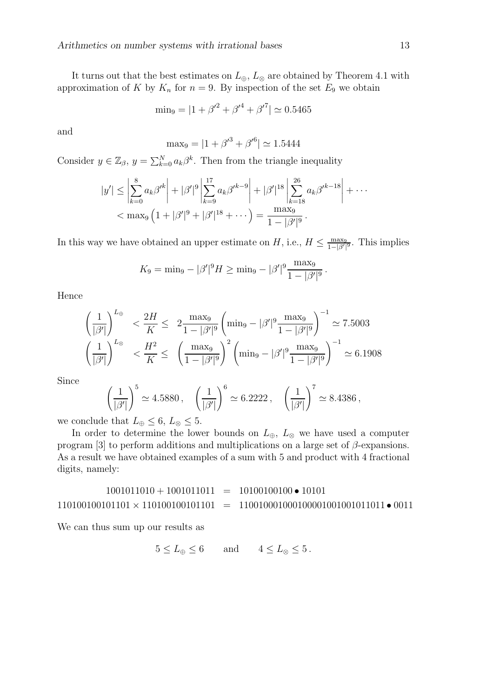It turns out that the best estimates on  $L_{\oplus}$ ,  $L_{\otimes}$  are obtained by Theorem 4.1 with approximation of K by  $K_n$  for  $n = 9$ . By inspection of the set  $E_9$  we obtain

$$
\min_9 = |1 + {\beta'}^2 + {\beta'}^4 + {\beta'}^7| \simeq 0.5465
$$

and

$$
\text{max}_9 = |1 + {\beta'}^3 + {\beta'}^6| \simeq 1.5444
$$

Consider  $y \in \mathbb{Z}_{\beta}$ ,  $y = \sum_{k=0}^{N} a_k \beta^k$ . Then from the triangle inequality

$$
|y'| \leq \left| \sum_{k=0}^{8} a_k \beta'^k \right| + |\beta'|^9 \left| \sum_{k=9}^{17} a_k \beta'^{k-9} \right| + |\beta'|^{18} \left| \sum_{k=18}^{26} a_k \beta'^{k-18} \right| + \cdots
$$
  

$$
< \max_9 \left( 1 + |\beta'|^9 + |\beta'|^{18} + \cdots \right) = \frac{\max_9}{1 - |\beta'|^9}.
$$

In this way we have obtained an upper estimate on  $H$ , i.e.,  $H \leq \frac{\max_9}{1-|\beta'|^9}$ . This implies

$$
K_9 = \min_9 - |\beta'|^9 H \ge \min_9 - |\beta'|^9 \frac{\max_9}{1 - |\beta'|^9}.
$$

Hence

$$
\left(\frac{1}{|\beta'|}\right)^{L_{\oplus}} < \frac{2H}{K} \leq 2 \frac{\max_{9}}{1 - |\beta'|^9} \left(\min_{9} - |\beta'|^9 \frac{\max_{9}}{1 - |\beta'|^9}\right)^{-1} \approx 7.5003
$$
\n
$$
\left(\frac{1}{|\beta'|}\right)^{L_{\otimes}} < \frac{H^2}{K} \leq \left(\frac{\max_{9}}{1 - |\beta'|^9}\right)^2 \left(\min_{9} - |\beta'|^9 \frac{\max_{9}}{1 - |\beta'|^9}\right)^{-1} \approx 6.1908
$$

Since

$$
\left(\frac{1}{|\beta'|}\right)^5 \simeq 4.5880\,, \quad \left(\frac{1}{|\beta'|}\right)^6 \simeq 6.2222\,, \quad \left(\frac{1}{|\beta'|}\right)^7 \simeq 8.4386\,,
$$

we conclude that  $L_{\oplus} \leq 6$ ,  $L_{\otimes} \leq 5$ .

In order to determine the lower bounds on  $L_{\oplus}$ ,  $L_{\otimes}$  we have used a computer program [3] to perform additions and multiplications on a large set of  $\beta$ -expansions. As a result we have obtained examples of a sum with 5 and product with 4 fractional digits, namely:

$$
1001011010 + 1001011011 = 10100100100 \bullet 10101
$$
  

$$
110100100101101 \times 110100100101101 = 110010001000100001001001011011 \bullet 0011
$$

We can thus sum up our results as

$$
5 \le L_{\oplus} \le 6 \quad \text{and} \quad 4 \le L_{\otimes} \le 5 \, .
$$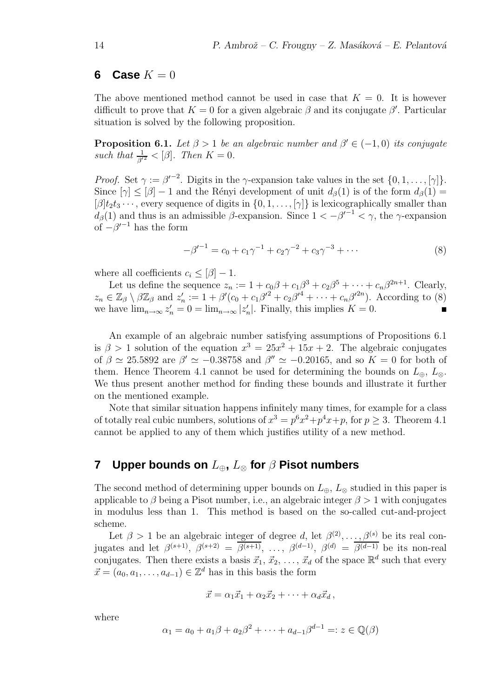## **6** Case  $K = 0$

The above mentioned method cannot be used in case that  $K = 0$ . It is however difficult to prove that  $K = 0$  for a given algebraic  $\beta$  and its conjugate  $\beta'$ . Particular situation is solved by the following proposition.

**Proposition 6.1.** Let  $\beta > 1$  be an algebraic number and  $\beta' \in (-1,0)$  its conjugate such that  $\frac{1}{\beta'^2} < [\beta]$ . Then  $K = 0$ .

*Proof.* Set  $\gamma := \beta'^{-2}$ . Digits in the  $\gamma$ -expansion take values in the set  $\{0, 1, \ldots, [\gamma]\}$ . Since  $[\gamma] \leq [\beta] - 1$  and the Rényi development of unit  $d_{\beta}(1)$  is of the form  $d_{\beta}(1) =$  $[\beta]t_2t_3\cdots$ , every sequence of digits in  $\{0, 1, \ldots, [\gamma]\}\$ is lexicographically smaller than  $d_{\beta}(1)$  and thus is an admissible  $\beta$ -expansion. Since  $1 < -\beta'^{-1} < \gamma$ , the  $\gamma$ -expansion of  $-\beta'^{-1}$  has the form

$$
-\beta'^{-1} = c_0 + c_1 \gamma^{-1} + c_2 \gamma^{-2} + c_3 \gamma^{-3} + \cdots
$$
 (8)

where all coefficients  $c_i \leq [\beta]-1$ .

Let us define the sequence  $z_n := 1 + c_0\beta + c_1\beta^3 + c_2\beta^5 + \cdots + c_n\beta^{2n+1}$ . Clearly,  $z_n \in \mathbb{Z}_{\beta} \setminus \beta \mathbb{Z}_{\beta}$  and  $z'_n := 1 + \beta'(c_0 + c_1\beta'^2 + c_2\beta'^4 + \cdots + c_n\beta'^{2n}).$  According to (8) we have  $\lim_{n\to\infty} z'_n = 0 = \lim_{n\to\infty} |z'_n|$ . Finally, this implies  $K = 0$ .

An example of an algebraic number satisfying assumptions of Propositions 6.1 is  $\beta > 1$  solution of the equation  $x^3 = 25x^2 + 15x + 2$ . The algebraic conjugates of  $\beta \simeq 25.5892$  are  $\beta' \simeq -0.38758$  and  $\beta'' \simeq -0.20165$ , and so  $K = 0$  for both of them. Hence Theorem 4.1 cannot be used for determining the bounds on  $L_{\oplus}$ ,  $L_{\otimes}$ . We thus present another method for finding these bounds and illustrate it further on the mentioned example.

Note that similar situation happens infinitely many times, for example for a class of totally real cubic numbers, solutions of  $x^3 = p^6x^2 + p^4x + p$ , for  $p \ge 3$ . Theorem 4.1 cannot be applied to any of them which justifies utility of a new method.

# **7 Upper bounds on** L⊕**,** L<sup>⊗</sup> **for** β **Pisot numbers**

The second method of determining upper bounds on  $L_{\oplus}$ ,  $L_{\otimes}$  studied in this paper is applicable to  $\beta$  being a Pisot number, i.e., an algebraic integer  $\beta > 1$  with conjugates in modulus less than 1. This method is based on the so-called cut-and-project scheme.

Let  $\beta > 1$  be an algebraic integer of degree d, let  $\beta^{(2)}, \ldots, \beta^{(s)}$  be its real conjugates and let  $\beta^{(s+1)}$ ,  $\beta^{(s+2)} = \overline{\beta^{(s+1)}}$ , ...,  $\beta^{(d-1)}$ ,  $\beta^{(d)} = \overline{\beta^{(d-1)}}$  be its non-real conjugates. Then there exists a basis  $\vec{x}_1, \vec{x}_2, \ldots, \vec{x}_d$  of the space  $\mathbb{R}^d$  such that every  $\vec{x} = (a_0, a_1, \dots, a_{d-1}) \in \mathbb{Z}^d$  has in this basis the form

$$
\vec{x} = \alpha_1 \vec{x}_1 + \alpha_2 \vec{x}_2 + \cdots + \alpha_d \vec{x}_d,
$$

where

$$
\alpha_1 = a_0 + a_1 \beta + a_2 \beta^2 + \dots + a_{d-1} \beta^{d-1} =: z \in \mathbb{Q}(\beta)
$$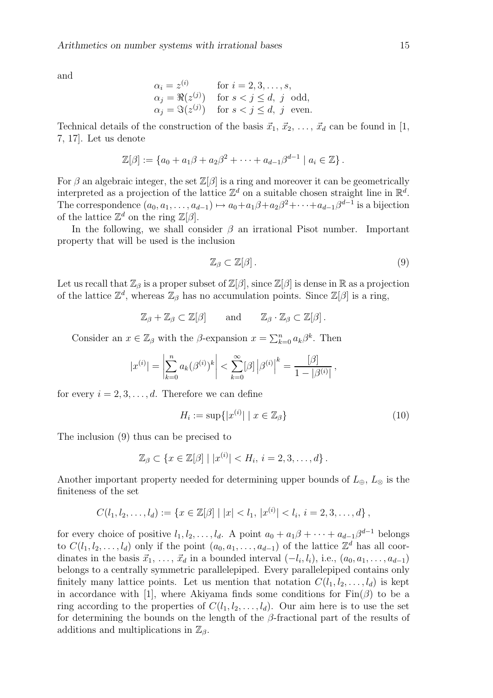and

$$
\alpha_i = z^{(i)} \qquad \text{for } i = 2, 3, \dots, s,
$$
  
\n
$$
\alpha_j = \Re(z^{(j)}) \qquad \text{for } s < j \le d, \ j \text{ odd},
$$
  
\n
$$
\alpha_j = \Im(z^{(j)}) \qquad \text{for } s < j \le d, \ j \text{ even}.
$$

Technical details of the construction of the basis  $\vec{x}_1, \vec{x}_2, \ldots, \vec{x}_d$  can be found in [1, 7, 17]. Let us denote

$$
\mathbb{Z}[\beta] := \{a_0 + a_1\beta + a_2\beta^2 + \cdots + a_{d-1}\beta^{d-1} \mid a_i \in \mathbb{Z}\}.
$$

For  $\beta$  an algebraic integer, the set  $\mathbb{Z}[\beta]$  is a ring and moreover it can be geometrically interpreted as a projection of the lattice  $\mathbb{Z}^d$  on a suitable chosen straight line in  $\mathbb{R}^d$ . The correspondence  $(a_0, a_1, \ldots, a_{d-1}) \mapsto a_0 + a_1 \beta + a_2 \beta^2 + \cdots + a_{d-1} \beta^{d-1}$  is a bijection of the lattice  $\mathbb{Z}^d$  on the ring  $\mathbb{Z}[\beta]$ .

In the following, we shall consider  $\beta$  an irrational Pisot number. Important property that will be used is the inclusion

$$
\mathbb{Z}_{\beta} \subset \mathbb{Z}[\beta].\tag{9}
$$

Let us recall that  $\mathbb{Z}_{\beta}$  is a proper subset of  $\mathbb{Z}[\beta]$ , since  $\mathbb{Z}[\beta]$  is dense in R as a projection of the lattice  $\mathbb{Z}^d$ , whereas  $\mathbb{Z}_\beta$  has no accumulation points. Since  $\mathbb{Z}[\beta]$  is a ring,

$$
\mathbb{Z}_{\beta} + \mathbb{Z}_{\beta} \subset \mathbb{Z}[\beta]
$$
 and  $\mathbb{Z}_{\beta} \cdot \mathbb{Z}_{\beta} \subset \mathbb{Z}[\beta].$ 

Consider an  $x \in \mathbb{Z}_{\beta}$  with the  $\beta$ -expansion  $x = \sum_{k=0}^{n} a_k \beta^k$ . Then

$$
|x^{(i)}| = \left|\sum_{k=0}^{n} a_k(\beta^{(i)})^k\right| < \sum_{k=0}^{\infty} |\beta| |\beta^{(i)}|^k = \frac{[\beta]}{1 - |\beta^{(i)}|},
$$

for every  $i = 2, 3, \ldots, d$ . Therefore we can define

$$
H_i := \sup\{|x^{(i)}| \mid x \in \mathbb{Z}_{\beta}\}\tag{10}
$$

The inclusion (9) thus can be precised to

$$
\mathbb{Z}_{\beta} \subset \{x \in \mathbb{Z}[\beta] \mid |x^{(i)}| < H_i, \, i = 2, 3, \dots, d\}.
$$

Another important property needed for determining upper bounds of  $L_{\oplus}$ ,  $L_{\otimes}$  is the finiteness of the set

$$
C(l_1, l_2, \ldots, l_d) := \{x \in \mathbb{Z}[\beta] \mid |x| < l_1, |x^{(i)}| < l_i, i = 2, 3, \ldots, d\},
$$

for every choice of positive  $l_1, l_2, \ldots, l_d$ . A point  $a_0 + a_1\beta + \cdots + a_{d-1}\beta^{d-1}$  belongs to  $C(l_1, l_2, \ldots, l_d)$  only if the point  $(a_0, a_1, \ldots, a_{d-1})$  of the lattice  $\mathbb{Z}^d$  has all coordinates in the basis  $\vec{x}_1, \ldots, \vec{x}_d$  in a bounded interval  $(-l_i, l_i)$ , i.e.,  $(a_0, a_1, \ldots, a_{d-1})$ belongs to a centrally symmetric parallelepiped. Every parallelepiped contains only finitely many lattice points. Let us mention that notation  $C(l_1, l_2, \ldots, l_d)$  is kept in accordance with [1], where Akiyama finds some conditions for  $\text{Fin}(\beta)$  to be a ring according to the properties of  $C(l_1, l_2, \ldots, l_d)$ . Our aim here is to use the set for determining the bounds on the length of the  $\beta$ -fractional part of the results of additions and multiplications in  $\mathbb{Z}_{\beta}$ .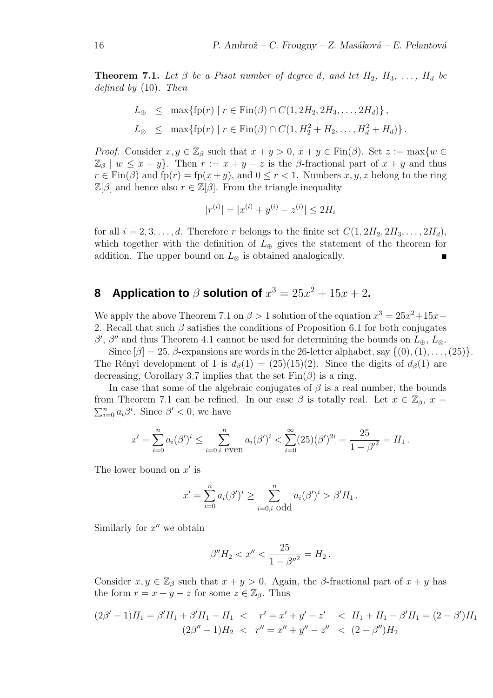**Theorem 7.1.** Let  $\beta$  be a Pisot number of degree d, and let  $H_2$ ,  $H_3$ , ...,  $H_d$  be defined by (10). Then

$$
L_{\oplus} \leq \max \{ \text{fp}(r) \mid r \in \text{Fin}(\beta) \cap C(1, 2H_2, 2H_3, \dots, 2H_d) \},
$$
  

$$
L_{\otimes} \leq \max \{ \text{fp}(r) \mid r \in \text{Fin}(\beta) \cap C(1, H_2^2 + H_2, \dots, H_d^2 + H_d) \}.
$$

*Proof.* Consider  $x, y \in \mathbb{Z}_{\beta}$  such that  $x + y > 0$ ,  $x + y \in Fin(\beta)$ . Set  $z := max\{w \in \mathbb{Z}_{\beta} \mid w \in \mathbb{Z}_{\beta}\}$  $\mathbb{Z}_{\beta}$  |  $w \leq x + y$ . Then  $r := x + y - z$  is the  $\beta$ -fractional part of  $x + y$  and thus  $r \in \text{Fin}(\beta)$  and  $\text{fp}(r) = \text{fp}(x+y)$ , and  $0 \leq r < 1$ . Numbers  $x, y, z$  belong to the ring  $\mathbb{Z}[\beta]$  and hence also  $r \in \mathbb{Z}[\beta]$ . From the triangle inequality

$$
|r^{(i)}| = |x^{(i)} + y^{(i)} - z^{(i)}| \le 2H_i
$$

for all  $i = 2, 3, \ldots, d$ . Therefore r belongs to the finite set  $C(1, 2H_2, 2H_3, \ldots, 2H_d)$ , which together with the definition of  $L_{\oplus}$  gives the statement of the theorem for addition. The upper bound on  $L_{\otimes}$  is obtained analogically.

## **8** Application to  $\beta$  solution of  $x^3 = 25x^2 + 15x + 2$ **.**

We apply the above Theorem 7.1 on  $\beta > 1$  solution of the equation  $x^3 = 25x^2 + 15x +$ 2. Recall that such  $\beta$  satisfies the conditions of Proposition 6.1 for both conjugates  $\beta'$ ,  $\beta''$  and thus Theorem 4.1 cannot be used for determining the bounds on  $L_{\oplus}$ ,  $L_{\otimes}$ .

Since  $[\beta] = 25$ ,  $\beta$ -expansions are words in the 26-letter alphabet, say  $\{(0), (1), \ldots, (25)\}.$ The Rényi development of 1 is  $d_{\beta}(1) = (25)(15)(2)$ . Since the digits of  $d_{\beta}(1)$  are decreasing, Corollary 3.7 implies that the set  $\text{Fin}(\beta)$  is a ring.

In case that some of the algebraic conjugates of  $\beta$  is a real number, the bounds from Theorem 7.1 can be refined. In our case  $\beta$  is totally real. Let  $x \in \mathbb{Z}_{\beta}$ ,  $x =$  $_{i=0}^{n} a_i \beta^i$ . Since  $\beta' < 0$ , we have

$$
x' = \sum_{i=0}^n a_i (\beta')^i \le \sum_{i=0,i \text{ even}}^n a_i (\beta')^i < \sum_{i=0}^\infty (25) (\beta')^{2i} = \frac{25}{1 - \beta'^2} = H_1.
$$

The lower bound on  $x'$  is

$$
x' = \sum_{i=0}^{n} a_i (\beta')^i \ge \sum_{i=0,i \text{ odd}}^{n} a_i (\beta')^i > \beta' H_1.
$$

Similarly for  $x''$  we obtain

$$
\beta''H_2 < x'' < \frac{25}{1 - \beta''^2} = H_2 \, .
$$

Consider  $x, y \in \mathbb{Z}_{\beta}$  such that  $x + y > 0$ . Again, the  $\beta$ -fractional part of  $x + y$  has the form  $r = x + y - z$  for some  $z \in \mathbb{Z}_{\beta}$ . Thus

$$
(2\beta'-1)H_1 = \beta'H_1 + \beta'H_1 - H_1 < r' = x' + y' - z' < H_1 + H_1 - \beta'H_1 = (2 - \beta')H_1
$$
\n
$$
(2\beta'' - 1)H_2 < r'' = x'' + y'' - z'' < (2 - \beta'')H_2
$$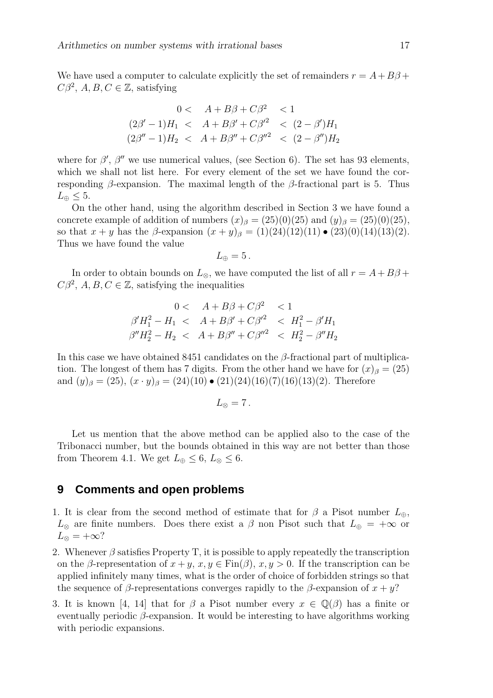We have used a computer to calculate explicitly the set of remainders  $r = A + B\beta +$  $C\beta^2$ , A, B,  $C \in \mathbb{Z}$ , satisfying

$$
0 < A + B\beta + C\beta^2 < 1
$$
\n
$$
(2\beta' - 1)H_1 < A + B\beta' + C\beta'^2 < (2 - \beta')H_1
$$
\n
$$
(2\beta'' - 1)H_2 < A + B\beta'' + C\beta''^2 < (2 - \beta'')H_2
$$

where for  $\beta'$ ,  $\beta''$  we use numerical values, (see Section 6). The set has 93 elements, which we shall not list here. For every element of the set we have found the corresponding  $\beta$ -expansion. The maximal length of the  $\beta$ -fractional part is 5. Thus  $L_{\oplus} \leq 5$ .

On the other hand, using the algorithm described in Section 3 we have found a concrete example of addition of numbers  $(x)_{\beta} = (25)(0)(25)$  and  $(y)_{\beta} = (25)(0)(25)$ , so that  $x + y$  has the β-expansion  $(x + y)_{\beta} = (1)(24)(12)(11) \bullet (23)(0)(14)(13)(2)$ . Thus we have found the value

$$
L_{\oplus}=5\,.
$$

In order to obtain bounds on  $L_{\otimes}$ , we have computed the list of all  $r = A + B\beta + C$  $C\beta^2$ , A, B,  $C \in \mathbb{Z}$ , satisfying the inequalities

$$
0 < A + B\beta + C\beta^2 < 1
$$
\n
$$
\beta'H_1^2 - H_1 < A + B\beta' + C\beta'^2 < H_1^2 - \beta'H_1
$$
\n
$$
\beta''H_2^2 - H_2 < A + B\beta'' + C\beta''^2 < H_2^2 - \beta''H_2
$$

In this case we have obtained 8451 candidates on the  $\beta$ -fractional part of multiplication. The longest of them has 7 digits. From the other hand we have for  $(x)_{\beta} = (25)$ and  $(y)_{\beta} = (25), (x \cdot y)_{\beta} = (24)(10) \cdot (21)(24)(16)(7)(16)(13)(2)$ . Therefore

$$
L_{\otimes}=7\,.
$$

Let us mention that the above method can be applied also to the case of the Tribonacci number, but the bounds obtained in this way are not better than those from Theorem 4.1. We get  $L_{\oplus} \leq 6$ ,  $L_{\otimes} \leq 6$ .

## **9 Comments and open problems**

- 1. It is clear from the second method of estimate that for  $\beta$  a Pisot number  $L_{\oplus}$ ,  $L_{\otimes}$  are finite numbers. Does there exist a  $\beta$  non Pisot such that  $L_{\oplus} = +\infty$  or  $L_{\otimes} = +\infty$ ?
- 2. Whenever  $\beta$  satisfies Property T, it is possible to apply repeatedly the transcription on the β-representation of  $x + y$ ,  $x, y \in Fin(\beta)$ ,  $x, y > 0$ . If the transcription can be applied infinitely many times, what is the order of choice of forbidden strings so that the sequence of β-representations converges rapidly to the β-expansion of  $x + y$ ?
- 3. It is known [4, 14] that for  $\beta$  a Pisot number every  $x \in \mathbb{Q}(\beta)$  has a finite or eventually periodic  $\beta$ -expansion. It would be interesting to have algorithms working with periodic expansions.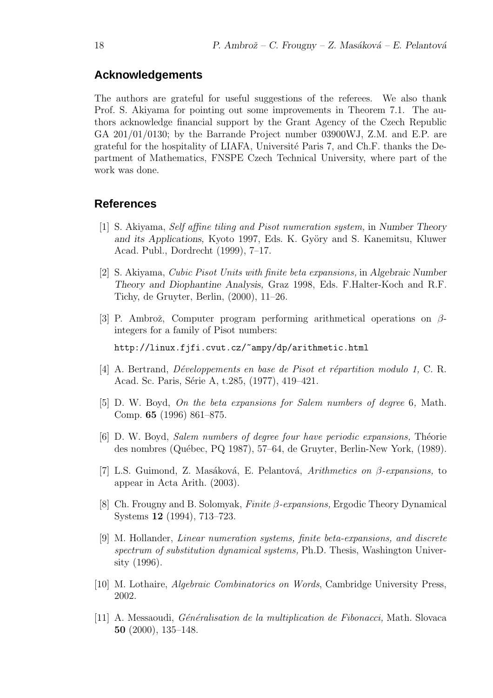## **Acknowledgements**

The authors are grateful for useful suggestions of the referees. We also thank Prof. S. Akiyama for pointing out some improvements in Theorem 7.1. The authors acknowledge financial support by the Grant Agency of the Czech Republic GA 201/01/0130; by the Barrande Project number 03900WJ, Z.M. and E.P. are grateful for the hospitality of LIAFA, Université Paris 7, and Ch.F. thanks the Department of Mathematics, FNSPE Czech Technical University, where part of the work was done.

## **References**

- [1] S. Akiyama, Self affine tiling and Pisot numeration system, in Number Theory and its Applications, Kyoto 1997, Eds. K. Györy and S. Kanemitsu, Kluwer Acad. Publ., Dordrecht (1999), 7–17.
- [2] S. Akiyama, Cubic Pisot Units with finite beta expansions, in Algebraic Number Theory and Diophantine Analysis, Graz 1998, Eds. F.Halter-Koch and R.F. Tichy, de Gruyter, Berlin, (2000), 11–26.
- [3] P. Ambrož, Computer program performing arithmetical operations on  $\beta$ integers for a family of Pisot numbers:

http://linux.fjfi.cvut.cz/~ampy/dp/arithmetic.html

- [4] A. Bertrand, *Développements en base de Pisot et répartition modulo 1*, C. R. Acad. Sc. Paris, Série A, t.285, (1977), 419–421.
- [5] D. W. Boyd, On the beta expansions for Salem numbers of degree 6, Math. Comp. 65 (1996) 861–875.
- [6] D. W. Boyd, *Salem numbers of degree four have periodic expansions*, Théorie des nombres (Québec, PQ 1987), 57–64, de Gruyter, Berlin-New York, (1989).
- [7] L.S. Guimond, Z. Masáková, E. Pelantová, Arithmetics on  $\beta$ -expansions, to appear in Acta Arith. (2003).
- [8] Ch. Frougny and B. Solomyak, Finite β-expansions, Ergodic Theory Dynamical Systems 12 (1994), 713–723.
- [9] M. Hollander, Linear numeration systems, finite beta-expansions, and discrete spectrum of substitution dynamical systems, Ph.D. Thesis, Washington University (1996).
- [10] M. Lothaire, Algebraic Combinatorics on Words, Cambridge University Press, 2002.
- [11] A. Messaoudi, *Généralisation de la multiplication de Fibonacci*, Math. Slovaca 50 (2000), 135–148.